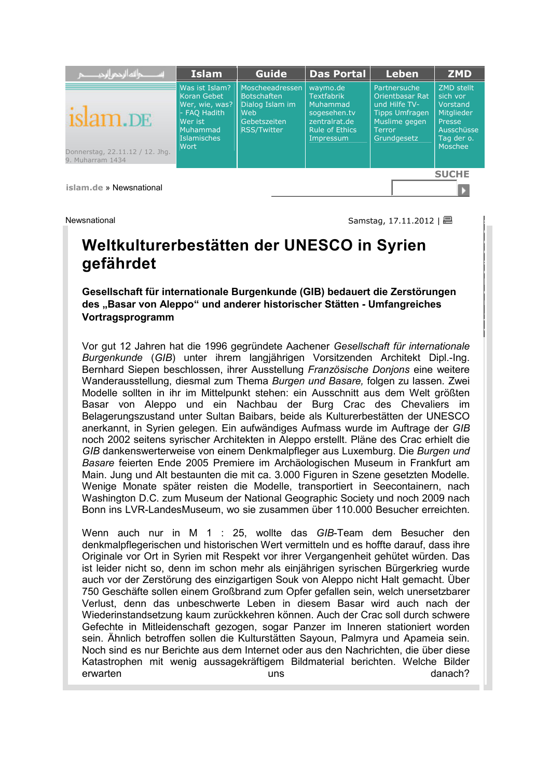

**islam.de** » Newsnational

Newsnational Samstag, 17.11.2012 | 日

**s o g e s e h e n . T V**

в

# **Weltkulturerbestätten der UNESCO in Syrien gefährdet**

**Gesellschaft für internationale Burgenkunde (GIB) bedauert die Zerstörungen des "Basar von Aleppo" und anderer historischer Stätten - Umfangreiches Vortragsprogramm** 

Vor gut 12 Jahren hat die 1996 gegründete Aachener *Gesellschaft für internationale Burgenkunde* (*GIB*) unter ihrem langjährigen Vorsitzenden Architekt Dipl.-Ing. Bernhard Siepen beschlossen, ihrer Ausstellung *Französische Donjons* eine weitere Wanderausstellung, diesmal zum Thema *Burgen und Basare,* folgen zu lassen*.* Zwei Modelle sollten in ihr im Mittelpunkt stehen: ein Ausschnitt aus dem Welt größten Basar von Aleppo und ein Nachbau der Burg Crac des Chevaliers im Belagerungszustand unter Sultan Baibars, beide als Kulturerbestätten der UNESCO anerkannt, in Syrien gelegen. Ein aufwändiges Aufmass wurde im Auftrage der *GIB* noch 2002 seitens syrischer Architekten in Aleppo erstellt. Pläne des Crac erhielt die *GIB* dankenswerterweise von einem Denkmalpfleger aus Luxemburg. Die *Burgen und Basare* feierten Ende 2005 Premiere im Archäologischen Museum in Frankfurt am Main. Jung und Alt bestaunten die mit ca. 3.000 Figuren in Szene gesetzten Modelle. Wenige Monate später reisten die Modelle, transportiert in Seecontainern, nach Washington D.C. zum Museum der National Geographic Society und noch 2009 nach Bonn ins LVR-LandesMuseum, wo sie zusammen über 110.000 Besucher erreichten.

Wenn auch nur in M 1 : 25, wollte das *GIB*-Team dem Besucher den denkmalpflegerischen und historischen Wert vermitteln und es hoffte darauf, dass ihre Originale vor Ort in Syrien mit Respekt vor ihrer Vergangenheit gehütet würden. Das ist leider nicht so, denn im schon mehr als einjährigen syrischen Bürgerkrieg wurde auch vor der Zerstörung des einzigartigen Souk von Aleppo nicht Halt gemacht. Über 750 Geschäfte sollen einem Großbrand zum Opfer gefallen sein, welch unersetzbarer Verlust, denn das unbeschwerte Leben in diesem Basar wird auch nach der Wiederinstandsetzung kaum zurückkehren können. Auch der Crac soll durch schwere Gefechte in Mitleidenschaft gezogen, sogar Panzer im Inneren stationiert worden sein. Ähnlich betroffen sollen die Kulturstätten Sayoun, Palmyra und Apameia sein. Noch sind es nur Berichte aus dem Internet oder aus den Nachrichten, die über diese Katastrophen mit wenig aussagekräftigem Bildmaterial berichten. Welche Bilder erwarten uns uns danach?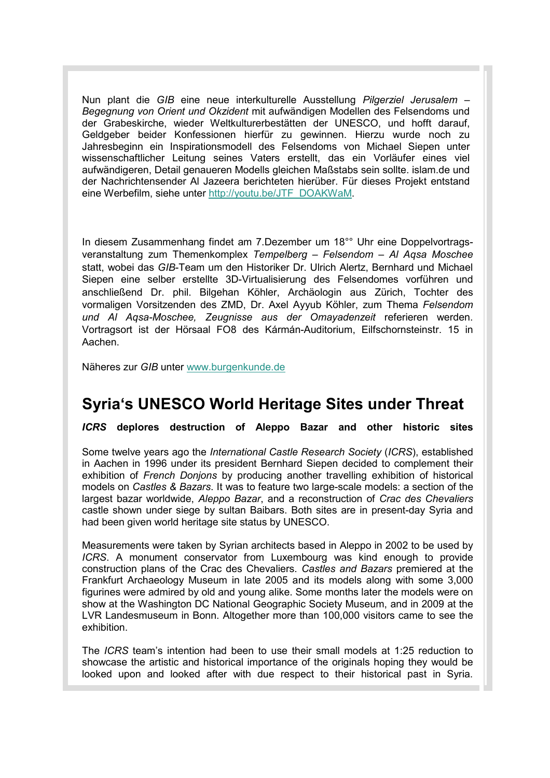Nun plant die *GIB* eine neue interkulturelle Ausstellung *Pilgerziel Jerusalem – Begegnung von Orient und Okzident* mit aufwändigen Modellen des Felsendoms und der Grabeskirche, wieder Weltkulturerbestätten der UNESCO, und hofft darauf, Geldgeber beider Konfessionen hierfür zu gewinnen. Hierzu wurde noch zu Jahresbeginn ein Inspirationsmodell des Felsendoms von Michael Siepen unter wissenschaftlicher Leitung seines Vaters erstellt, das ein Vorläufer eines viel aufwändigeren, Detail genaueren Modells gleichen Maßstabs sein sollte. islam.de und der Nachrichtensender Al Jazeera berichteten hierüber. Für dieses Projekt entstand eine Werbefilm, siehe unter http://youtu.be/JTF\_DOAKWaM.

In diesem Zusammenhang findet am 7.Dezember um 18°° Uhr eine Doppelvortragsveranstaltung zum Themenkomplex *Tempelberg – Felsendom – Al Aqsa Moschee*  statt, wobei das *GIB*-Team um den Historiker Dr. Ulrich Alertz, Bernhard und Michael Siepen eine selber erstellte 3D-Virtualisierung des Felsendomes vorführen und anschließend Dr. phil. Bilgehan Köhler, Archäologin aus Zürich, Tochter des vormaligen Vorsitzenden des ZMD, Dr. Axel Ayyub Köhler, zum Thema *Felsendom und Al Aqsa-Moschee, Zeugnisse aus der Omayadenzeit* referieren werden. Vortragsort ist der Hörsaal FO8 des Kármán-Auditorium, Eilfschornsteinstr. 15 in Aachen.

Näheres zur *GIB* unter www.burgenkunde.de

### **Syria's UNESCO World Heritage Sites under Threat**

*ICRS* **deplores destruction of Aleppo Bazar and other historic sites**

Some twelve years ago the *International Castle Research Society* (*ICRS*), established in Aachen in 1996 under its president Bernhard Siepen decided to complement their exhibition of *French Donjons* by producing another travelling exhibition of historical models on *Castles & Bazars*. It was to feature two large-scale models: a section of the largest bazar worldwide, *Aleppo Bazar*, and a reconstruction of *Crac des Chevaliers* castle shown under siege by sultan Baibars. Both sites are in present-day Syria and had been given world heritage site status by UNESCO.

Measurements were taken by Syrian architects based in Aleppo in 2002 to be used by *ICRS*. A monument conservator from Luxembourg was kind enough to provide construction plans of the Crac des Chevaliers. *Castles and Bazars* premiered at the Frankfurt Archaeology Museum in late 2005 and its models along with some 3,000 figurines were admired by old and young alike. Some months later the models were on show at the Washington DC National Geographic Society Museum, and in 2009 at the LVR Landesmuseum in Bonn. Altogether more than 100,000 visitors came to see the exhibition.

The *ICRS* team's intention had been to use their small models at 1:25 reduction to showcase the artistic and historical importance of the originals hoping they would be looked upon and looked after with due respect to their historical past in Syria.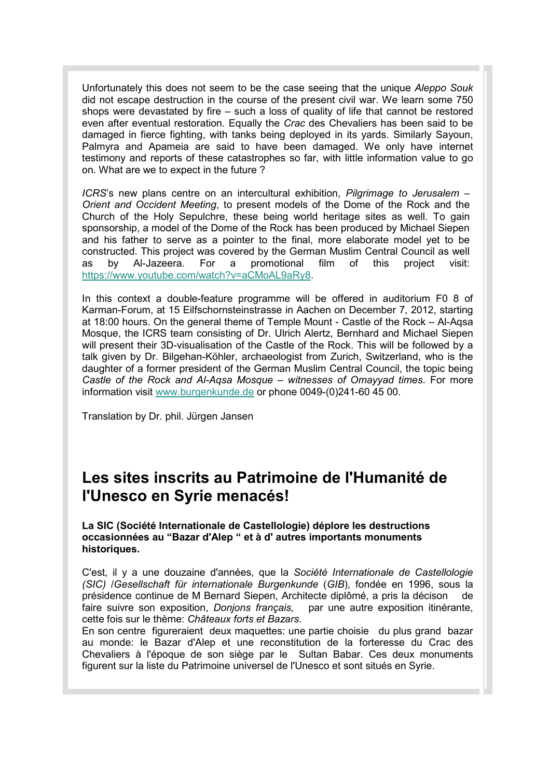Unfortunately this does not seem to be the case seeing that the unique *Aleppo Souk* did not escape destruction in the course of the present civil war. We learn some 750 shops were devastated by fire – such a loss of quality of life that cannot be restored even after eventual restoration. Equally the *Crac* des Chevaliers has been said to be damaged in fierce fighting, with tanks being deployed in its yards. Similarly Sayoun, Palmyra and Apameia are said to have been damaged. We only have internet testimony and reports of these catastrophes so far, with little information value to go on. What are we to expect in the future ?

*ICRS*'s new plans centre on an intercultural exhibition, *Pilgrimage to Jerusalem – Orient and Occident Meeting*, to present models of the Dome of the Rock and the Church of the Holy Sepulchre, these being world heritage sites as well. To gain sponsorship, a model of the Dome of the Rock has been produced by Michael Siepen and his father to serve as a pointer to the final, more elaborate model yet to be constructed. This project was covered by the German Muslim Central Council as well as by Al-Jazeera. For a promotional film of this project visit: https://www.youtube.com/watch?v=aCMoAL9aRy8.

In this context a double-feature programme will be offered in auditorium F0 8 of Karman-Forum, at 15 Eilfschornsteinstrasse in Aachen on December 7, 2012, starting at 18:00 hours. On the general theme of Temple Mount - Castle of the Rock – Al-Aqsa Mosque, the ICRS team consisting of Dr. Ulrich Alertz, Bernhard and Michael Siepen will present their 3D-visualisation of the Castle of the Rock. This will be followed by a talk given by Dr. Bilgehan-Köhler, archaeologist from Zurich, Switzerland, who is the daughter of a former president of the German Muslim Central Council, the topic being *Castle of the Rock and Al-Aqsa Mosque – witnesses of Omayyad times*. For more information visit www.burgenkunde.de or phone 0049-(0)241-60 45 00.

Translation by Dr. phil. Jürgen Jansen

## **Les sites inscrits au Patrimoine de l'Humanité de l'Unesco en Syrie menacés!**

### **La SIC (Société Internationale de Castellologie) déplore les destructions occasionnées au "Bazar d'Alep " et à d' autres importants monuments historiques.**

C'est, il y a une douzaine d'années, que la *Société Internationale de Castellologie (SIC)* /*Gesellschaft für internationale Burgenkunde* (*GIB*), fondée en 1996, sous la présidence continue de M Bernard Siepen, Architecte diplômé, a pris la décison de faire suivre son exposition, *Donjons français,* par une autre exposition itinérante, cette fois sur le thème: *Châteaux forts et Bazars.* 

En son centre figureraient deux maquettes: une partie choisie du plus grand bazar au monde: le Bazar d'Alep et une reconstitution de la forteresse du Crac des Chevaliers à l'époque de son siège par le Sultan Babar. Ces deux monuments figurent sur la liste du Patrimoine universel de l'Unesco et sont situés en Syrie.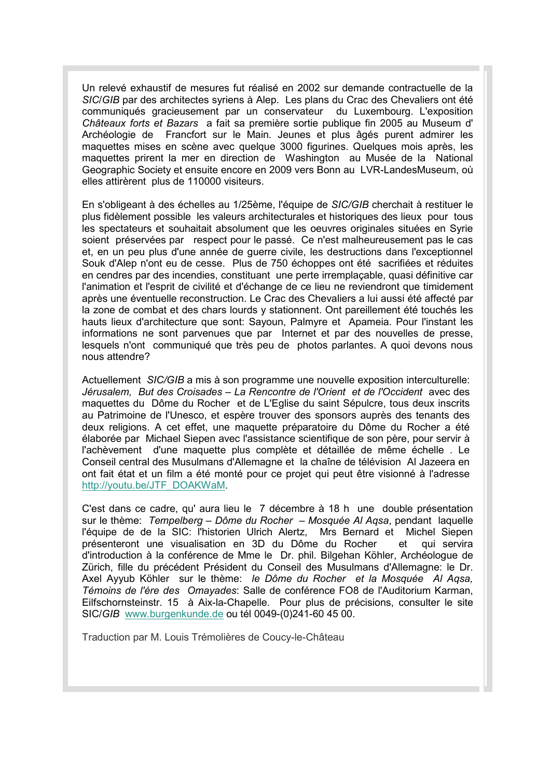Un relevé exhaustif de mesures fut réalisé en 2002 sur demande contractuelle de la *SIC*/*GIB* par des architectes syriens à Alep. Les plans du Crac des Chevaliers ont été communiqués gracieusement par un conservateur du Luxembourg. L'exposition *Châteaux forts et Bazars* a fait sa première sortie publique fin 2005 au Museum d' Archéologie de Francfort sur le Main. Jeunes et plus âgés purent admirer les maquettes mises en scène avec quelque 3000 figurines. Quelques mois après, les maquettes prirent la mer en direction de Washington au Musée de la National Geographic Society et ensuite encore en 2009 vers Bonn au LVR-LandesMuseum, où elles attirèrent plus de 110000 visiteurs.

En s'obligeant à des échelles au 1/25ème, l'équipe de *SIC/GIB* cherchait à restituer le plus fidèlement possible les valeurs architecturales et historiques des lieux pour tous les spectateurs et souhaitait absolument que les oeuvres originales situées en Syrie soient préservées par respect pour le passé. Ce n'est malheureusement pas le cas et, en un peu plus d'une année de guerre civile, les destructions dans l'exceptionnel Souk d'Alep n'ont eu de cesse. Plus de 750 échoppes ont été sacrifiées et réduites en cendres par des incendies, constituant une perte irremplaçable, quasi définitive car l'animation et l'esprit de civilité et d'échange de ce lieu ne reviendront que timidement après une éventuelle reconstruction. Le Crac des Chevaliers a lui aussi été affecté par la zone de combat et des chars lourds y stationnent. Ont pareillement été touchés les hauts lieux d'architecture que sont: Sayoun, Palmyre et Apameia. Pour l'instant les informations ne sont parvenues que par Internet et par des nouvelles de presse, lesquels n'ont communiqué que très peu de photos parlantes. A quoi devons nous nous attendre?

Actuellement *SIC/GIB* a mis à son programme une nouvelle exposition interculturelle: Jérusalem, But des Croisades – La Rencontre de l'Orient et de l'Occident avec des maquettes du Dôme du Rocher et de L'Eglise du saint Sépulcre, tous deux inscrits au Patrimoine de l'Unesco, et espère trouver des sponsors auprès des tenants des deux religions. A cet effet, une maquette préparatoire du Dôme du Rocher a été élaborée par Michael Siepen avec l'assistance scientifique de son père, pour servir à l'achèvement d'une maquette plus complète et détaillée de même échelle . Le Conseil central des Musulmans d'Allemagne et la chaîne de télévision Al Jazeera en ont fait état et un film a été monté pour ce projet qui peut être visionné à l'adresse http://youtu.be/JTF\_DOAKWaM.

C'est dans ce cadre, qu' aura lieu le 7 décembre à 18 h une double présentation sur le thème: *Tempelberg – Dôme du Rocher – Mosquée Al Aqsa*, pendant laquelle l'équipe de de la SIC: l'historien Ulrich Alertz, Mrs Bernard et Michel Siepen présenteront une visualisation en 3D du Dôme du Rocher et qui servira d'introduction à la conférence de Mme le Dr. phil. Bilgehan Köhler, Archéologue de Zürich, fille du précédent Président du Conseil des Musulmans d'Allemagne: le Dr. Axel Ayyub Köhler sur le thème: *le Dôme du Rocher et la Mosquée Al Aqsa, Témoins de l'ére des Omayades*: Salle de conférence FO8 de l'Auditorium Karman, Eilfschornsteinstr. 15 à Aix-la-Chapelle. Pour plus de précisions, consulter le site SIC/*GIB* www.burgenkunde.de ou tél 0049-(0)241-60 45 00.

Traduction par M. Louis Trémolières de Coucy-le-Château